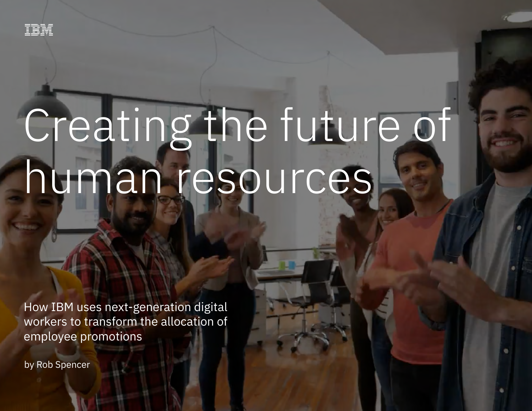## Creating the future of human resources

How IBM uses next-generation digital workers to transform the allocation of employee promotions

by Rob Spencer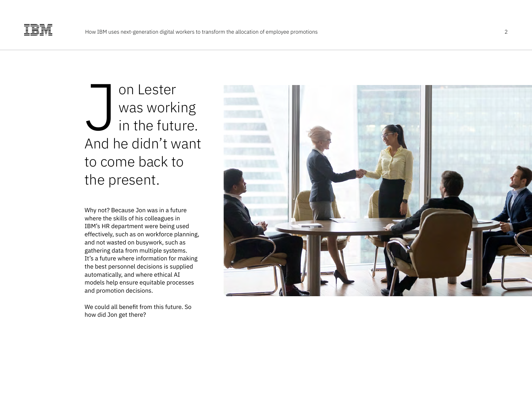on Lester was working in the future. And he didn't want to come back to on Lest<br>
was wc<br>
in the fi<br>
And he didn'<br>
to come bacl<br>
the present.

Why not? Because Jon was in a future where the skills of his colleagues in IBM's HR department were being used effectively, such as on workforce planning, and not wasted on busywork, such as gathering data from multiple systems. It's a future where information for making the best personnel decisions is supplied automatically, and where ethical AI models help ensure equitable processes and promotion decisions.

We could all benefit from this future. So how did Jon get there?

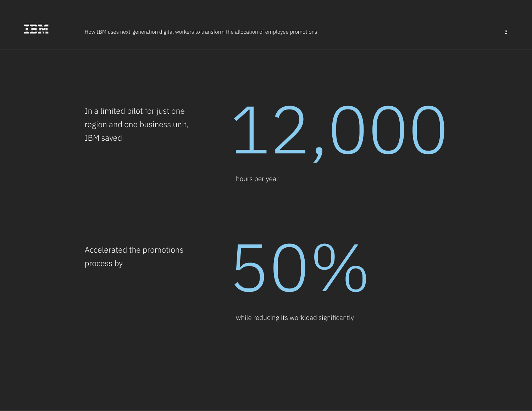

In a limited pilot for just one region and one business unit, IBM saved

# 12,000

hours per year

Accelerated the promotions process by

50%

while reducing its workload significantly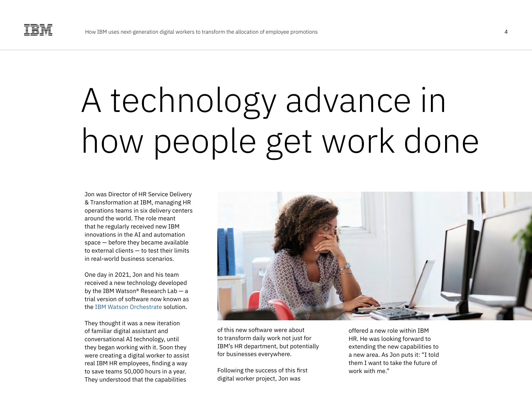### A technology advance in how people get work done

Jon was Director of HR Service Delivery & Transformation at IBM, managing HR operations teams in six delivery centers around the world. The role meant that he regularly received new IBM innovations in the AI and automation space — before they became available to external clients — to test their limits in real-world business scenarios.

One day in 2021, Jon and his team received a new technology developed by the IBM Watson® Research Lab — a trial version of software now known as the [IBM Watson Orchestrate](https://www.ibm.com/cloud/automation/watson-orchestrate) solution.

They thought it was a new iteration of familiar digital assistant and conversational AI technology, until they began working with it. Soon they were creating a digital worker to assist real IBM HR employees, finding a way to save teams 50,000 hours in a year. They understood that the capabilities



of this new software were about to transform daily work not just for IBM's HR department, but potentially for businesses everywhere.

Following the success of this first digital worker project, Jon was

offered a new role within IBM HR. He was looking forward to extending the new capabilities to a new area. As Jon puts it: "I told them I want to take the future of work with me."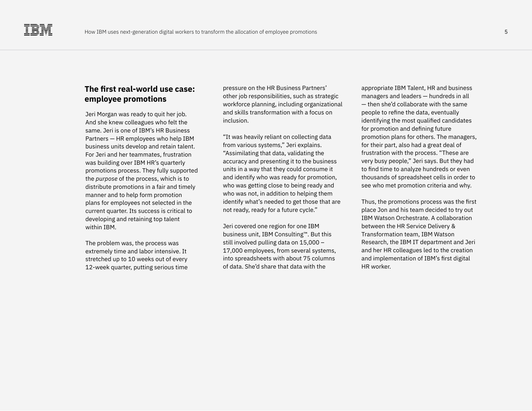### **The first real-world use case: employee promotions**

Jeri Morgan was ready to quit her job. And she knew colleagues who felt the same. Jeri is one of IBM's HR Business Partners — HR employees who help IBM business units develop and retain talent. For Jeri and her teammates, frustration was building over IBM HR's quarterly promotions process. They fully supported the *purpose* of the process, which is to distribute promotions in a fair and timely manner and to help form promotion plans for employees not selected in the current quarter. Its success is critical to developing and retaining top talent within IBM.

The problem was, the process was extremely time and labor intensive. It stretched up to 10 weeks out of every 12-week quarter, putting serious time

pressure on the HR Business Partners' other job responsibilities, such as strategic workforce planning, including organizational and skills transformation with a focus on inclusion.

"It was heavily reliant on collecting data from various systems," Jeri explains. "Assimilating that data, validating the accuracy and presenting it to the business units in a way that they could consume it and identify who was ready for promotion, who was getting close to being ready and who was not, in addition to helping them identify what's needed to get those that are not ready, ready for a future cycle."

Jeri covered one region for one IBM business unit, IBM Consulting™. But this still involved pulling data on 15,000 – 17,000 employees, from several systems, into spreadsheets with about 75 columns of data. She'd share that data with the

appropriate IBM Talent, HR and business managers and leaders — hundreds in all — then she'd collaborate with the same people to refine the data, eventually identifying the most qualified candidates for promotion and defining future promotion plans for others. The managers, for their part, also had a great deal of frustration with the process. "These are very busy people," Jeri says. But they had to find time to analyze hundreds or even thousands of spreadsheet cells in order to see who met promotion criteria and why.

Thus, the promotions process was the first place Jon and his team decided to try out IBM Watson Orchestrate. A collaboration between the HR Service Delivery & Transformation team, IBM Watson Research, the IBM IT department and Jeri and her HR colleagues led to the creation and implementation of IBM's first digital HR worker.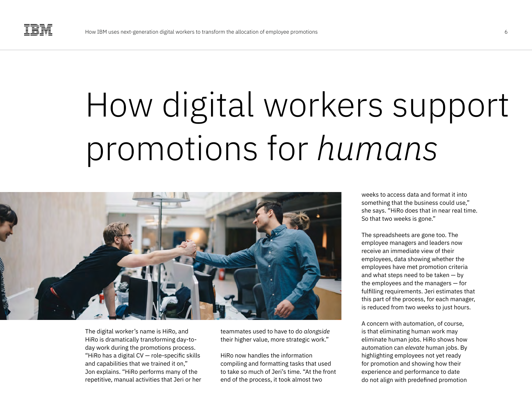### How digital workers support promotions for *humans*



The digital worker's name is HiRo, and HiRo is dramatically transforming day-today work during the promotions process. "HiRo has a digital CV — role-specific skills and capabilities that we trained it on," Jon explains. "HiRo performs many of the repetitive, manual activities that Jeri or her teammates used to have to do *alongside*  their higher value, more strategic work."

HiRo now handles the information compiling and formatting tasks that used to take so much of Jeri's time. "At the front end of the process, it took almost two

weeks to access data and format it into something that the business could use," she says. "HiRo does that in near real time. So that two weeks is gone."

The spreadsheets are gone too. The employee managers and leaders now receive an immediate view of their employees, data showing whether the employees have met promotion criteria and what steps need to be taken — by the employees and the managers — for fulfilling requirements. Jeri estimates that this part of the process, for each manager, is reduced from two weeks to just hours.

A concern with automation, of course, is that eliminating human work may eliminate human jobs. HiRo shows how automation can *elevate* human jobs. By highlighting employees not yet ready for promotion and showing how their experience and performance to date do not align with predefined promotion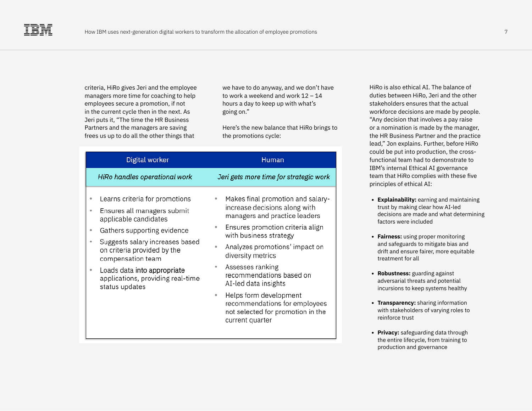criteria, HiRo gives Jeri and the employee managers more time for coaching to help employees secure a promotion, if not in the current cycle then in the next. As Jeri puts it, "The time the HR Business Partners and the managers are saving frees us up to do all the other things that

we have to do anyway, and we don't have to work a weekend and work 12 – 14 hours a day to keep up with what's going on."

Here's the new balance that HiRo brings to the promotions cycle:

| Digital worker                                                                                                                                                                                                                                                                                                              | Human                                                                                                                                                                                                                                                                                                                                                                                                                                        |
|-----------------------------------------------------------------------------------------------------------------------------------------------------------------------------------------------------------------------------------------------------------------------------------------------------------------------------|----------------------------------------------------------------------------------------------------------------------------------------------------------------------------------------------------------------------------------------------------------------------------------------------------------------------------------------------------------------------------------------------------------------------------------------------|
| HiRo handles operational work                                                                                                                                                                                                                                                                                               | Jeri gets more time for strategic work                                                                                                                                                                                                                                                                                                                                                                                                       |
| Learns criteria for promotions<br>٠<br>Ensures all managers submit<br>۰<br>applicable candidates<br>Gathers supporting evidence<br>٠<br>Suggests salary increases based<br>۰<br>on criteria provided by the<br>compensation team<br>Loads data into appropriate<br>۰<br>applications, providing real-time<br>status updates | Makes final promotion and salary-<br>۰<br>increase decisions along with<br>managers and practice leaders<br>Ensures promotion criteria align<br>۰<br>with business strategy<br>Analyzes promotions' impact on<br>۰<br>diversity metrics<br>Assesses ranking<br>۰<br>recommendations based on<br>AI-led data insights<br>Helps form development<br>۰<br>recommendations for employees<br>not selected for promotion in the<br>current quarter |

HiRo is also ethical AI. The balance of duties between HiRo, Jeri and the other stakeholders ensures that the actual workforce decisions are made by people. "Any decision that involves a pay raise or a nomination is made by the manager, the HR Business Partner and the practice lead," Jon explains. Further, before HiRo could be put into production, the crossfunctional team had to demonstrate to IBM's internal Ethical AI governance team that HiRo complies with these five principles of ethical AI:

- **• Explainability:** earning and maintaining trust by making clear how AI-led decisions are made and what determining factors were included
- **• Fairness:** using proper monitoring and safeguards to mitigate bias and drift and ensure fairer, more equitable treatment for all
- **• Robustness:** guarding against adversarial threats and potential incursions to keep systems healthy
- **• Transparency:** sharing information with stakeholders of varying roles to reinforce trust
- **• Privacy:** safeguarding data through the entire lifecycle, from training to production and governance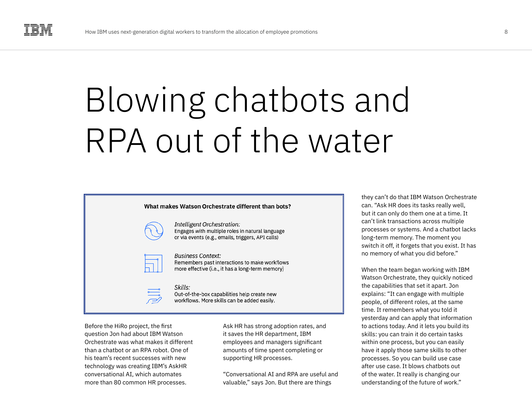### Blowing chatbots and RPA out of the water



**Intelligent Orchestration:** Engages with multiple roles in natural language or via events (e.g., emails, triggers, API calls)

### **Business Context:**

Remembers past interactions to make workflows more effective (i.e., it has a long-term memory)

Skills: Out-of-the-box capabilities help create new workflows. More skills can be added easily.

Before the HiRo project, the first question Jon had about IBM Watson Orchestrate was what makes it different than a chatbot or an RPA robot. One of his team's recent successes with new technology was creating IBM's AskHR conversational AI, which automates more than 80 common HR processes.

Ask HR has strong adoption rates, and it saves the HR department, IBM employees and managers significant amounts of time spent completing or supporting HR processes.

"Conversational AI and RPA are useful and valuable," says Jon. But there are things

they can't do that IBM Watson Orchestrate can. "Ask HR does its tasks really well, but it can only do them one at a time. It can't link transactions across multiple processes or systems. And a chatbot lacks long-term memory. The moment you switch it off, it forgets that you exist. It has no memory of what you did before."

When the team began working with IBM Watson Orchestrate, they quickly noticed the capabilities that set it apart. Jon explains: "It can engage with multiple people, of different roles, at the same time. It remembers what you told it yesterday and can apply that information to actions today. And it lets you build its skills: you can train it do certain tasks within one process, but you can easily have it apply those same skills to other processes. So you can build use case after use case. It blows chatbots out of the water. It really is changing our understanding of the future of work."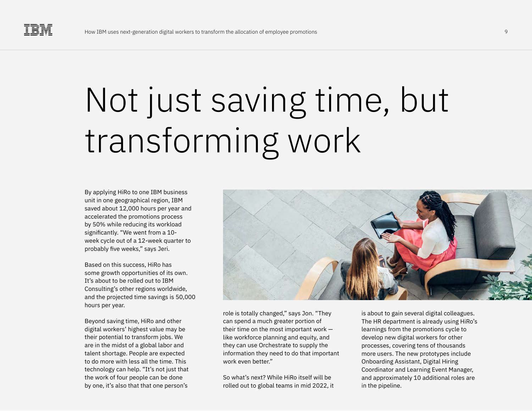### Not just saving time, but transforming work

By applying HiRo to one IBM business unit in one geographical region, IBM saved about 12,000 hours per year and accelerated the promotions process by 50% while reducing its workload significantly. "We went from a 10 week cycle out of a 12-week quarter to probably five weeks," says Jeri.

Based on this success, HiRo has some growth opportunities of its own. It's about to be rolled out to IBM Consulting's other regions worldwide, and the projected time savings is 50,000 hours per year.

Beyond saving time, HiRo and other digital workers' highest value may be their potential to transform jobs. We are in the midst of a global labor and talent shortage. People are expected to do more with less all the time. This technology can help. "It's not just that the work of four people can be done by one, it's also that that one person's



role is totally changed," says Jon. "They can spend a much greater portion of their time on the most important work like workforce planning and equity, and they can use Orchestrate to supply the information they need to do that important work even better."

So what's next? While HiRo itself will be rolled out to global teams in mid 2022, it is about to gain several digital colleagues. The HR department is already using HiRo's learnings from the promotions cycle to develop new digital workers for other processes, covering tens of thousands more users. The new prototypes include Onboarding Assistant, Digital Hiring Coordinator and Learning Event Manager, and approximately 10 additional roles are in the pipeline.